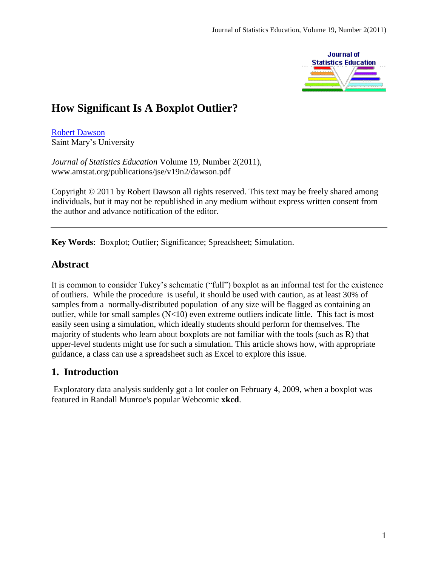

# **How Significant Is A Boxplot Outlier?**

[Robert Dawson](#page-11-0) Saint Mary's University

*Journal of Statistics Education* Volume 19, Number 2(2011), www.amstat.org/publications/jse/v19n2/dawson.pdf

Copyright © 2011 by Robert Dawson all rights reserved. This text may be freely shared among individuals, but it may not be republished in any medium without express written consent from the author and advance notification of the editor.

**Key Words**: Boxplot; Outlier; Significance; Spreadsheet; Simulation.

# **Abstract**

It is common to consider Tukey's schematic ("full") boxplot as an informal test for the existence of outliers. While the procedure is useful, it should be used with caution, as at least 30% of samples from a normally-distributed population of any size will be flagged as containing an outlier, while for small samples (N<10) even extreme outliers indicate little. This fact is most easily seen using a simulation, which ideally students should perform for themselves. The majority of students who learn about boxplots are not familiar with the tools (such as R) that upper-level students might use for such a simulation. This article shows how, with appropriate guidance, a class can use a spreadsheet such as Excel to explore this issue.

# **1. Introduction**

Exploratory data analysis suddenly got a lot cooler on February 4, 2009, when a boxplot was featured in Randall Munroe's popular Webcomic **xkcd**.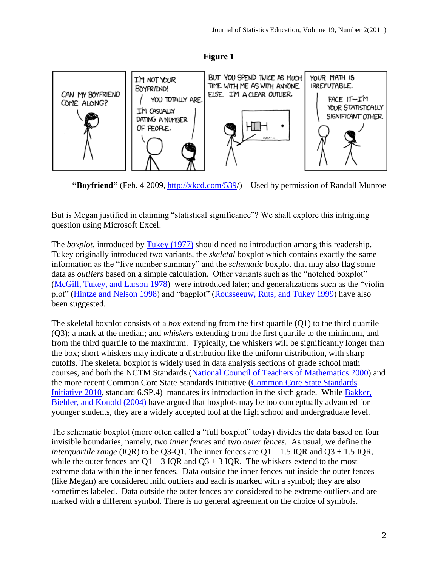



**"Boyfriend"** (Feb. 4 2009, [http://xkcd.com/539/](http://xkcd.com/539)) Used by permission of Randall Munroe

But is Megan justified in claiming "statistical significance"? We shall explore this intriguing question using Microsoft Excel.

The *boxplot*, introduced by [Tukey \(1977\)](#page-11-1) should need no introduction among this readership. Tukey originally introduced two variants, the *skeletal* boxplot which contains exactly the same information as the "five number summary" and the *schematic* boxplot that may also flag some data as *outliers* based on a simple calculation. Other variants such as the "notched boxplot" [\(McGill, Tukey, and Larson](#page-11-2) 1978) were introduced later; and generalizations such as the "violin plot" [\(Hintze and Nelson](#page-10-0) 1998) and "bagplot" [\(Rousseeuw, Ruts, and Tukey](#page-11-3) 1999) have also been suggested.

The skeletal boxplot consists of a *box* extending from the first quartile (Q1) to the third quartile (Q3); a mark at the median; and *whiskers* extending from the first quartile to the minimum, and from the third quartile to the maximum. Typically, the whiskers will be significantly longer than the box; short whiskers may indicate a distribution like the uniform distribution, with sharp cutoffs. The skeletal boxplot is widely used in data analysis sections of grade school math courses, and both the NCTM Standards [\(National Council of Teachers of Mathematics](#page-11-4) 2000) and the more recent Common Core State Standards Initiative [\(Common Core State Standards](#page-11-5)  [Initiative](#page-11-5) 2010, standard 6.SP.4) mandates its introduction in the sixth grade. While [Bakker,](#page-10-1)  [Biehler, and Konold \(2004\)](#page-10-1) have argued that boxplots may be too conceptually advanced for younger students, they are a widely accepted tool at the high school and undergraduate level.

The schematic boxplot (more often called a "full boxplot" today) divides the data based on four invisible boundaries, namely, two *inner fences* and two *outer fences.* As usual, we define the *interquartile range* (IQR) to be Q3-Q1. The inner fences are Q1 – 1.5 IQR and Q3 + 1.5 IQR, while the outer fences are  $Q1 - 3$  IOR and  $Q3 + 3$  IOR. The whiskers extend to the most extreme data within the inner fences. Data outside the inner fences but inside the outer fences (like Megan) are considered mild outliers and each is marked with a symbol; they are also sometimes labeled. Data outside the outer fences are considered to be extreme outliers and are marked with a different symbol. There is no general agreement on the choice of symbols.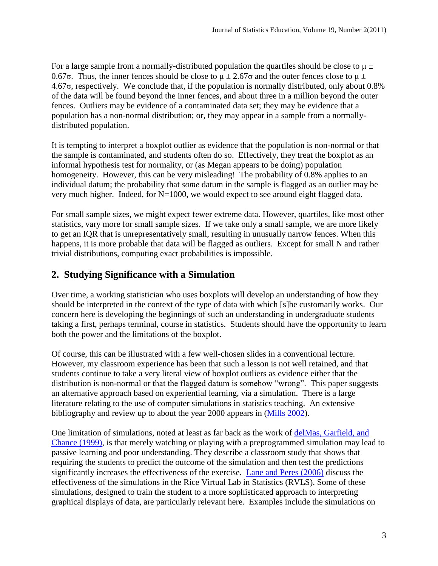For a large sample from a normally-distributed population the quartiles should be close to  $\mu \pm$ 0.67σ. Thus, the inner fences should be close to  $\mu \pm 2.67$  and the outer fences close to  $\mu \pm$ 4.67σ, respectively. We conclude that, if the population is normally distributed, only about 0.8% of the data will be found beyond the inner fences, and about three in a million beyond the outer fences. Outliers may be evidence of a contaminated data set; they may be evidence that a population has a non-normal distribution; or, they may appear in a sample from a normallydistributed population.

It is tempting to interpret a boxplot outlier as evidence that the population is non-normal or that the sample is contaminated, and students often do so. Effectively, they treat the boxplot as an informal hypothesis test for normality, or (as Megan appears to be doing) population homogeneity. However, this can be very misleading! The probability of 0.8% applies to an individual datum; the probability that *some* datum in the sample is flagged as an outlier may be very much higher. Indeed, for N=1000, we would expect to see around eight flagged data.

For small sample sizes, we might expect fewer extreme data. However, quartiles, like most other statistics, vary more for small sample sizes. If we take only a small sample, we are more likely to get an IQR that is unrepresentatively small, resulting in unusually narrow fences. When this happens, it is more probable that data will be flagged as outliers. Except for small N and rather trivial distributions, computing exact probabilities is impossible.

# **2. Studying Significance with a Simulation**

Over time, a working statistician who uses boxplots will develop an understanding of how they should be interpreted in the context of the type of data with which [s]he customarily works. Our concern here is developing the beginnings of such an understanding in undergraduate students taking a first, perhaps terminal, course in statistics. Students should have the opportunity to learn both the power and the limitations of the boxplot.

Of course, this can be illustrated with a few well-chosen slides in a conventional lecture. However, my classroom experience has been that such a lesson is not well retained, and that students continue to take a very literal view of boxplot outliers as evidence either that the distribution is non-normal or that the flagged datum is somehow "wrong". This paper suggests an alternative approach based on experiential learning, via a simulation. There is a large literature relating to the use of computer simulations in statistics teaching. An extensive bibliography and review up to about the year 2000 appears in [\(Mills](#page-11-6) 2002).

One limitation of simulations, noted at least as far back as the work of [delMas, Garfield, and](#page-10-2)  [Chance \(1999\),](#page-10-2) is that merely watching or playing with a preprogrammed simulation may lead to passive learning and poor understanding. They describe a classroom study that shows that requiring the students to predict the outcome of the simulation and then test the predictions significantly increases the effectiveness of the exercise. [Lane and Peres \(2006\)](#page-10-3) discuss the effectiveness of the simulations in the Rice Virtual Lab in Statistics (RVLS). Some of these simulations, designed to train the student to a more sophisticated approach to interpreting graphical displays of data, are particularly relevant here. Examples include the simulations on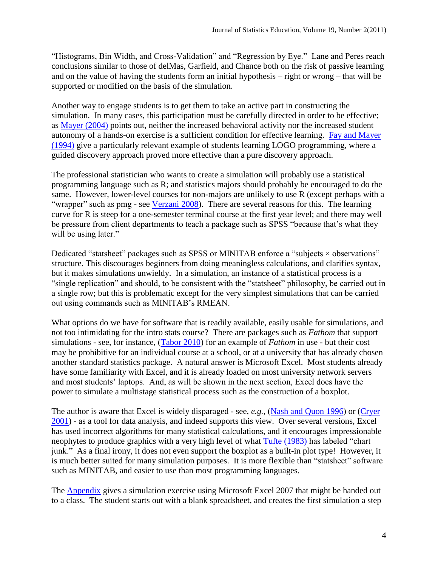"Histograms, Bin Width, and Cross-Validation" and "Regression by Eye." Lane and Peres reach conclusions similar to those of delMas, Garfield, and Chance both on the risk of passive learning and on the value of having the students form an initial hypothesis – right or wrong – that will be supported or modified on the basis of the simulation.

Another way to engage students is to get them to take an active part in constructing the simulation. In many cases, this participation must be carefully directed in order to be effective; as [Mayer \(2004\)](#page-10-4) points out, neither the increased behavioral activity nor the increased student autonomy of a hands-on exercise is a sufficient condition for effective learning. [Fay and Mayer](#page-10-5)  [\(1994\)](#page-10-5) give a particularly relevant example of students learning LOGO programming, where a guided discovery approach proved more effective than a pure discovery approach.

The professional statistician who wants to create a simulation will probably use a statistical programming language such as R; and statistics majors should probably be encouraged to do the same. However, lower-level courses for non-majors are unlikely to use R (except perhaps with a "wrapper" such as pmg - see [Verzani](#page-11-7) 2008). There are several reasons for this. The learning curve for R is steep for a one-semester terminal course at the first year level; and there may well be pressure from client departments to teach a package such as SPSS "because that's what they will be using later."

Dedicated "statsheet" packages such as SPSS or MINITAB enforce a "subjects  $\times$  observations" structure. This discourages beginners from doing meaningless calculations, and clarifies syntax, but it makes simulations unwieldy. In a simulation, an instance of a statistical process is a "single replication" and should, to be consistent with the "statsheet" philosophy, be carried out in a single row; but this is problematic except for the very simplest simulations that can be carried out using commands such as MINITAB's RMEAN.

What options do we have for software that is readily available, easily usable for simulations, and not too intimidating for the intro stats course? There are packages such as *Fathom* that support simulations - see, for instance, [\(Tabor](#page-11-8) 2010) for an example of *Fathom* in use - but their cost may be prohibitive for an individual course at a school, or at a university that has already chosen another standard statistics package. A natural answer is Microsoft Excel. Most students already have some familiarity with Excel, and it is already loaded on most university network servers and most students' laptops. And, as will be shown in the next section, Excel does have the power to simulate a multistage statistical process such as the construction of a boxplot.

The author is aware that Excel is widely disparaged - see, *e.g.,* [\(Nash and Quon](#page-11-9) 1996) or [\(Cryer](#page-10-6) [2001\)](#page-10-6) - as a tool for data analysis, and indeed supports this view. Over several versions, Excel has used incorrect algorithms for many statistical calculations, and it encourages impressionable neophytes to produce graphics with a very high level of what [Tufte \(1983\)](#page-11-10) has labeled "chart junk." As a final irony, it does not even support the boxplot as a built-in plot type! However, it is much better suited for many simulation purposes. It is more flexible than "statsheet" software such as MINITAB, and easier to use than most programming languages.

The [Appendix](#page-6-0) gives a simulation exercise using Microsoft Excel 2007 that might be handed out to a class. The student starts out with a blank spreadsheet, and creates the first simulation a step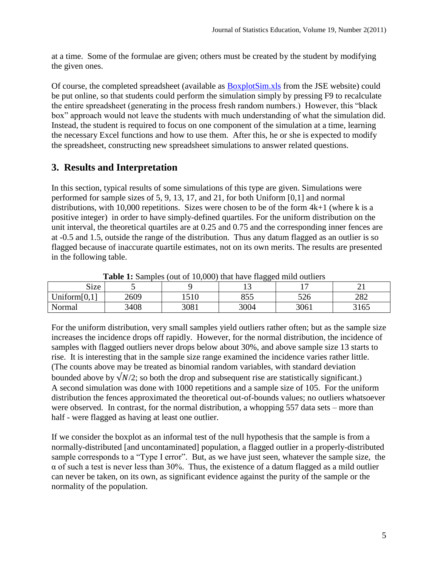at a time. Some of the formulae are given; others must be created by the student by modifying the given ones.

Of course, the completed spreadsheet (available as [BoxplotSim.xls](http://www.amstat.org/publications/jse/v19n2/BoxplotSim.xls) from the JSE website) could be put online, so that students could perform the simulation simply by pressing F9 to recalculate the entire spreadsheet (generating in the process fresh random numbers.) However, this "black box" approach would not leave the students with much understanding of what the simulation did. Instead, the student is required to focus on one component of the simulation at a time, learning the necessary Excel functions and how to use them. After this, he or she is expected to modify the spreadsheet, constructing new spreadsheet simulations to answer related questions.

### **3. Results and Interpretation**

In this section, typical results of some simulations of this type are given. Simulations were performed for sample sizes of 5, 9, 13, 17, and 21, for both Uniform [0,1] and normal distributions, with 10,000 repetitions. Sizes were chosen to be of the form  $4k+1$  (where k is a positive integer) in order to have simply-defined quartiles. For the uniform distribution on the unit interval, the theoretical quartiles are at 0.25 and 0.75 and the corresponding inner fences are at -0.5 and 1.5, outside the range of the distribution. Thus any datum flagged as an outlier is so flagged because of inaccurate quartile estimates, not on its own merits. The results are presented in the following table.

|                 | <b>Table 1.</b> Samples (out of 10,000) that have hagged mind outliers |      |      |      |      |  |  |  |  |  |
|-----------------|------------------------------------------------------------------------|------|------|------|------|--|--|--|--|--|
| Size            |                                                                        |      |      |      |      |  |  |  |  |  |
| Uniform $[0,1]$ | 2609                                                                   | 1510 | 855  | 526  | 282  |  |  |  |  |  |
| Normal          | 3408                                                                   | 3081 | 3004 | 3061 | 3165 |  |  |  |  |  |

**Table 1:** Samples (out of 10,000) that have flagged mild outliers

For the uniform distribution, very small samples yield outliers rather often; but as the sample size increases the incidence drops off rapidly. However, for the normal distribution, the incidence of samples with flagged outliers never drops below about 30%, and above sample size 13 starts to rise. It is interesting that in the sample size range examined the incidence varies rather little. (The counts above may be treated as binomial random variables, with standard deviation bounded above by  $\sqrt{N/2}$ ; so both the drop and subsequent rise are statistically significant.) A second simulation was done with 1000 repetitions and a sample size of 105. For the uniform distribution the fences approximated the theoretical out-of-bounds values; no outliers whatsoever were observed. In contrast, for the normal distribution, a whopping 557 data sets – more than half - were flagged as having at least one outlier.

If we consider the boxplot as an informal test of the null hypothesis that the sample is from a normally-distributed [and uncontaminated] population, a flagged outlier in a properly-distributed sample corresponds to a "Type I error". But, as we have just seen, whatever the sample size, the  $\alpha$  of such a test is never less than 30%. Thus, the existence of a datum flagged as a mild outlier can never be taken, on its own, as significant evidence against the purity of the sample or the normality of the population.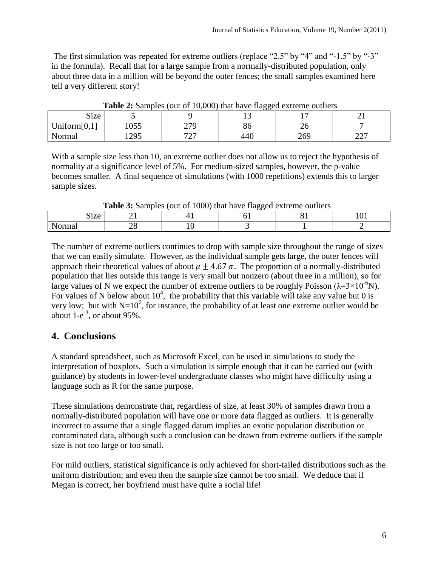The first simulation was repeated for extreme outliers (replace "2.5" by "4" and "-1.5" by "-3" in the formula). Recall that for a large sample from a normally-distributed population, only about three data in a million will be beyond the outer fences; the small samples examined here tell a very different story!

|                 |     | <b>Table 2.</b> Bamples (but of 10,000) that have hagged extreme buttlets |     |     |                  |
|-----------------|-----|---------------------------------------------------------------------------|-----|-----|------------------|
| <b>Size</b>     |     |                                                                           |     |     |                  |
| Uniform $[0,1]$ | 055 | 270                                                                       | გი  | ∠∪  |                  |
| Normal          | 295 | 707<br>ا سے                                                               | 440 | 269 | $\cap$<br>ا ساسا |

**Table 2:** Samples (out of 10,000) that have flagged extreme outliers

With a sample size less than 10, an extreme outlier does not allow us to reject the hypothesis of normality at a significance level of 5%. For medium-sized samples, however, the p-value becomes smaller. A final sequence of simulations (with 1000 repetitions) extends this to larger sample sizes.

|                      | <b>Lable 5.</b> Bamples (but of 1000) that have hagged extreme buttlets |  |  |  |  |  |
|----------------------|-------------------------------------------------------------------------|--|--|--|--|--|
| $\mathbf{z}$<br>OIZC |                                                                         |  |  |  |  |  |
|                      |                                                                         |  |  |  |  |  |

**Table 3:** Samples (out of 1000) that have flagged extreme outliers

The number of extreme outliers continues to drop with sample size throughout the range of sizes that we can easily simulate. However, as the individual sample gets large, the outer fences will approach their theoretical values of about  $\mu \pm 4.67 \sigma$ . The proportion of a normally-distributed population that lies outside this range is very small but nonzero (about three in a million), so for large values of N we expect the number of extreme outliers to be roughly Poisson ( $\lambda = 3 \times 10^{-6}$ N). For values of N below about  $10^4$ , the probability that this variable will take any value but 0 is very low; but with  $N=10^6$ , for instance, the probability of at least one extreme outlier would be about  $1-e^{-3}$ , or about 95%.

# **4. Conclusions**

A standard spreadsheet, such as Microsoft Excel, can be used in simulations to study the interpretation of boxplots. Such a simulation is simple enough that it can be carried out (with guidance) by students in lower-level undergraduate classes who might have difficulty using a language such as R for the same purpose.

These simulations demonstrate that, regardless of size, at least 30% of samples drawn from a normally-distributed population will have one or more data flagged as outliers. It is generally incorrect to assume that a single flagged datum implies an exotic population distribution or contaminated data, although such a conclusion can be drawn from extreme outliers if the sample size is not too large or too small.

For mild outliers, statistical significance is only achieved for short-tailed distributions such as the uniform distribution; and even then the sample size cannot be too small. We deduce that if Megan is correct, her boyfriend must have quite a social life!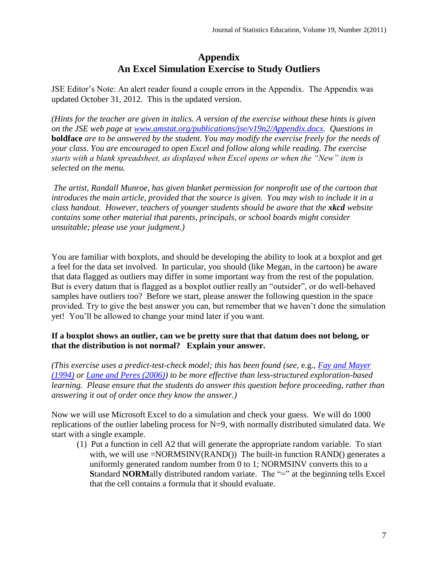### **Appendix An Excel Simulation Exercise to Study Outliers**

<span id="page-6-0"></span>JSE Editor's Note: An alert reader found a couple errors in the Appendix. The Appendix was updated October 31, 2012. This is the updated version.

*(Hints for the teacher are given in italics. A version of the exercise without these hints is given on the JSE web page at [www.amstat.org/publications/jse/v19n2/Appendix.docx.](www.amstat.org/publications/jse/v19n2/Appendix.docx) Questions in*  **boldface** *are to be answered by the student. You may modify the exercise freely for the needs of your class. You are encouraged to open Excel and follow along while reading. The exercise starts with a blank spreadsheet, as displayed when Excel opens or when the "New" item is selected on the menu.* 

*The artist, Randall Munroe, has given blanket permission for nonprofit use of the cartoon that introduces the main article, provided that the source is given. You may wish to include it in a class handout. However, teachers of younger students should be aware that the xkcd website contains some other material that parents, principals, or school boards might consider unsuitable; please use your judgment.)*

You are familiar with boxplots, and should be developing the ability to look at a boxplot and get a feel for the data set involved. In particular, you should (like Megan, in the cartoon) be aware that data flagged as outliers may differ in some important way from the rest of the population. But is every datum that is flagged as a boxplot outlier really an "outsider", or do well-behaved samples have outliers too? Before we start, please answer the following question in the space provided. Try to give the best answer you can, but remember that we haven't done the simulation yet! You'll be allowed to change your mind later if you want.

#### **If a boxplot shows an outlier, can we be pretty sure that that datum does not belong, or that the distribution is not normal? Explain your answer.**

*(This exercise uses a predict-test-check model; this has been found (see,* e.g.*, [Fay and Mayer](#page-10-5)  [\(1994\)](#page-10-5) or [Lane and Peres \(2006\)\)](#page-10-3) to be more effective than less-structured exploration-based learning. Please ensure that the students do answer this question before proceeding, rather than answering it out of order once they know the answer.)*

Now we will use Microsoft Excel to do a simulation and check your guess. We will do 1000 replications of the outlier labeling process for N=9, with normally distributed simulated data. We start with a single example.

(1) Put a function in cell A2 that will generate the appropriate random variable. To start with, we will use =NORMSINV(RAND()) The built-in function RAND() generates a uniformly generated random number from 0 to 1; NORMSINV converts this to a **Standard NORMally distributed random variate. The "=" at the beginning tells Excel** that the cell contains a formula that it should evaluate.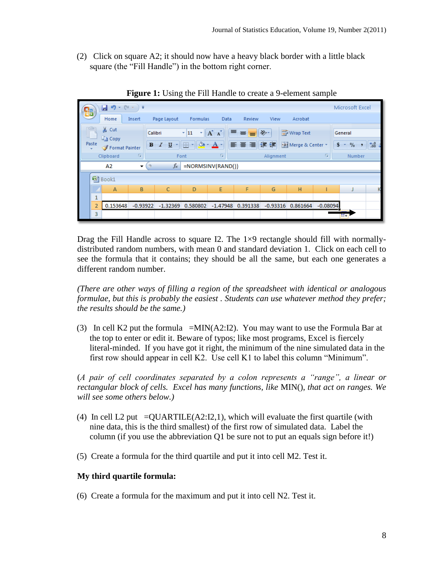(2) Click on square A2; it should now have a heavy black border with a little black square (the "Fill Handle") in the bottom right corner.



**Figure 1:** Using the Fill Handle to create a 9-element sample

Drag the Fill Handle across to square I2. The  $1\times9$  rectangle should fill with normallydistributed random numbers, with mean 0 and standard deviation 1. Click on each cell to see the formula that it contains; they should be all the same, but each one generates a different random number.

*(There are other ways of filling a region of the spreadsheet with identical or analogous formulae, but this is probably the easiest . Students can use whatever method they prefer; the results should be the same.)*

(3) In cell K2 put the formula =MIN(A2:I2). You may want to use the Formula Bar at the top to enter or edit it. Beware of typos; like most programs, Excel is fiercely literal-minded. If you have got it right, the minimum of the nine simulated data in the first row should appear in cell K2. Use cell K1 to label this column "Minimum".

(*A pair of cell coordinates separated by a colon represents a "range", a linear or rectangular block of cells. Excel has many functions, like* MIN(), *that act on ranges. We will see some others below.)*

- (4) In cell L2 put  $= QUARTILE(A2:12,1)$ , which will evaluate the first quartile (with nine data, this is the third smallest) of the first row of simulated data. Label the column (if you use the abbreviation Q1 be sure not to put an equals sign before it!)
- (5) Create a formula for the third quartile and put it into cell M2. Test it.

#### **My third quartile formula:**

(6) Create a formula for the maximum and put it into cell N2. Test it.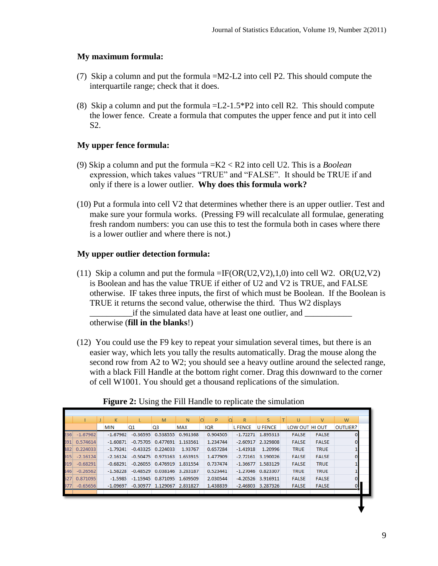#### **My maximum formula:**

- (7) Skip a column and put the formula =M2-L2 into cell P2. This should compute the interquartile range; check that it does.
- (8) Skip a column and put the formula =L2-1.5\*P2 into cell R2. This should compute the lower fence. Create a formula that computes the upper fence and put it into cell S2.

#### **My upper fence formula:**

- (9) Skip a column and put the formula =K2 < R2 into cell U2. This is a *Boolean* expression, which takes values "TRUE" and "FALSE". It should be TRUE if and only if there is a lower outlier. **Why does this formula work?**
- (10) Put a formula into cell V2 that determines whether there is an upper outlier. Test and make sure your formula works. (Pressing F9 will recalculate all formulae, generating fresh random numbers: you can use this to test the formula both in cases where there is a lower outlier and where there is not.)

#### **My upper outlier detection formula:**

- (11) Skip a column and put the formula  $=IF(OR(U2,V2),1,0)$  into cell W2. OR(U2,V2) is Boolean and has the value TRUE if either of U2 and V2 is TRUE, and FALSE otherwise. IF takes three inputs, the first of which must be Boolean. If the Boolean is TRUE it returns the second value, otherwise the third. Thus W2 displays \_\_\_\_\_\_\_\_\_\_if the simulated data have at least one outlier, and \_\_\_\_\_\_\_\_\_\_\_ otherwise (**fill in the blanks**!)
- (12) You could use the F9 key to repeat your simulation several times, but there is an easier way, which lets you tally the results automatically. Drag the mouse along the second row from A2 to W2; you should see a heavy outline around the selected range, with a black Fill Handle at the bottom right corner. Drag this downward to the corner of cell W1001. You should get a thousand replications of the simulation.

|     |            | K          |    | M                            | N          | P        | R              |                     | U              | v            | W        |  |
|-----|------------|------------|----|------------------------------|------------|----------|----------------|---------------------|----------------|--------------|----------|--|
|     |            | <b>MIN</b> | Q1 | Q3                           | <b>MAX</b> | IQR      | <b>L FENCE</b> | U FENCE             | LOW OUT HI OUT |              | OUTLIER? |  |
| 236 | $-1.67962$ | $-1.67962$ |    | $-0.36595$ 0.538555 0.961368 |            | 0.904505 |                | $-1.72271$ 1.895313 | <b>FALSE</b>   | <b>FALSE</b> |          |  |
| 591 | 0.574614   | $-1.60871$ |    | $-0.75705$ 0.477691 1.163561 |            | 1.234744 |                | $-2.60917$ 2.329808 | <b>FALSE</b>   | <b>FALSE</b> |          |  |
| 182 | 0.224033   | $-1.79241$ |    | $-0.43325$ 0.224033          | 1.93767    | 0.657284 | $-1.41918$     | 1.20996             | <b>TRUE</b>    | <b>TRUE</b>  |          |  |
| 915 | $-2.16124$ | $-2.16124$ |    | $-0.50475$ 0.973163 1.653915 |            | 1.477909 |                | $-2.72161$ 3.190026 | <b>FALSE</b>   | <b>FALSE</b> |          |  |
| 919 | $-0.68291$ | $-0.68291$ |    | $-0.26055$ 0.476919 1.831554 |            | 0.737474 |                | $-1.36677$ 1.583129 | <b>FALSE</b>   | <b>TRUE</b>  |          |  |
| 146 | $-0.26562$ | $-1.58228$ |    | $-0.48529$ 0.038146 3.283187 |            | 0.523441 |                | $-1.27046$ 0.823307 | <b>TRUE</b>    | <b>TRUE</b>  |          |  |
| 527 | 0.871095   | $-1.5985$  |    | $-1.15945$ 0.871095 1.609509 |            | 2.030544 |                | $-4.20526$ 3.916911 | <b>FALSE</b>   | <b>FALSE</b> |          |  |
| 977 | $-0.65656$ | $-1.09697$ |    | $-0.30977$ 1.129067          | 2.831827   | 1.438839 | $-2.46803$     | 3.287326            | <b>FALSE</b>   | <b>FALSE</b> |          |  |
|     |            |            |    |                              |            |          |                |                     |                |              |          |  |

**Figure 2:** Using the Fill Handle to replicate the simulation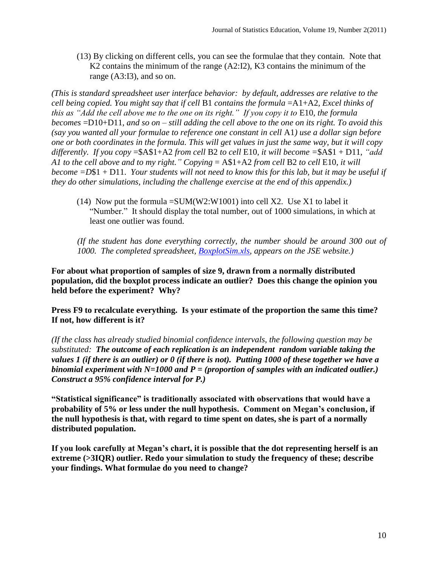(13) By clicking on different cells, you can see the formulae that they contain. Note that K2 contains the minimum of the range (A2:I2), K3 contains the minimum of the range (A3:I3), and so on.

*(This is standard spreadsheet user interface behavior: by default, addresses are relative to the cell being copied. You might say that if cell* B1 *contains the formula* =A1+A2*, Excel thinks of this as "Add the cell above me to the one on its right." If you copy it to* E10*, the formula becomes* =D10+D11*, and so on – still adding the cell above to the one on its right. To avoid this (say you wanted all your formulae to reference one constant in cell* A1*) use a dollar sign before one or both coordinates in the formula. This will get values in just the same way, but it will copy differently. If you copy* =\$A\$1+A2 *from cell* B2 *to cell* E10*, it will become =*\$A\$1 + D11, *"add A1 to the cell above and to my right." Copying* = A\$1+A2 *from cell* B2 *to cell* E10*, it will become =D*\$1 + D11. *Your students will not need to know this for this lab, but it may be useful if they do other simulations, including the challenge exercise at the end of this appendix.)*

(14) Now put the formula  $=SUM(W2:W1001)$  into cell X2. Use X1 to label it "Number." It should display the total number, out of 1000 simulations, in which at least one outlier was found.

*(If the student has done everything correctly, the number should be around 300 out of 1000. The completed spreadsheet, [BoxplotSim.xls,](http://www.amstat.org/publications/jse/v19n2/BoxplotSim.xls) appears on the JSE website.)*

**For about what proportion of samples of size 9, drawn from a normally distributed population, did the boxplot process indicate an outlier? Does this change the opinion you held before the experiment? Why?**

**Press F9 to recalculate everything. Is your estimate of the proportion the same this time? If not, how different is it?**

*(If the class has already studied binomial confidence intervals, the following question may be substituted: The outcome of each replication is an independent random variable taking the values 1 (if there is an outlier) or 0 (if there is not). Putting 1000 of these together we have a binomial experiment with N=1000 and P = (proportion of samples with an indicated outlier.) Construct a 95% confidence interval for P.)*

**"Statistical significance" is traditionally associated with observations that would have a probability of 5% or less under the null hypothesis. Comment on Megan's conclusion, if the null hypothesis is that, with regard to time spent on dates, she is part of a normally distributed population.**

**If you look carefully at Megan's chart, it is possible that the dot representing herself is an extreme (>3IQR) outlier. Redo your simulation to study the frequency of these; describe your findings. What formulae do you need to change?**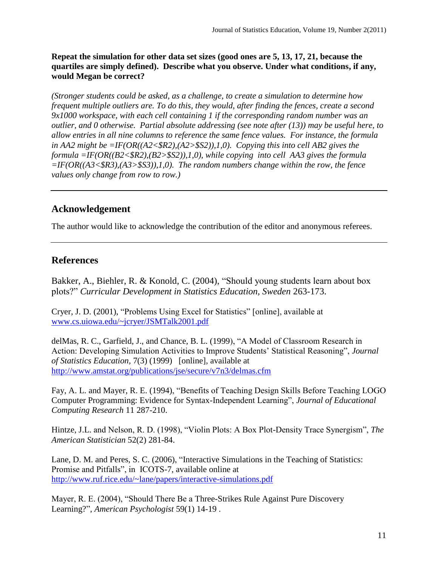**Repeat the simulation for other data set sizes (good ones are 5, 13, 17, 21, because the quartiles are simply defined). Describe what you observe. Under what conditions, if any, would Megan be correct?**

*(Stronger students could be asked, as a challenge, to create a simulation to determine how frequent multiple outliers are. To do this, they would, after finding the fences, create a second 9x1000 workspace, with each cell containing 1 if the corresponding random number was an outlier, and 0 otherwise. Partial absolute addressing (see note after (13)) may be useful here, to allow entries in all nine columns to reference the same fence values. For instance, the formula in AA2 might be =IF(OR((A2<\$R2),(A2>\$S2)),1,0). Copying this into cell AB2 gives the formula =IF(OR((B2<\$R2),(B2>\$S2)),1,0), while copying into cell AA3 gives the formula =IF(OR((A3<\$R3),(A3>\$S3)),1,0). The random numbers change within the row, the fence values only change from row to row.)*

# **Acknowledgement**

The author would like to acknowledge the contribution of the editor and anonymous referees.

# **References**

<span id="page-10-1"></span>Bakker, A., Biehler, R. & Konold, C. (2004), "Should young students learn about box plots?" *Curricular Development in Statistics Education, Sweden* 263-173.

<span id="page-10-6"></span>Cryer, J. D. (2001), "Problems Using Excel for Statistics" [online], available at [www.cs.uiowa.edu/~jcryer/JSMTalk2001.pdf](http://www.cs.uiowa.edu/~jcryer/JSMTalk2001.pdf)

<span id="page-10-2"></span>delMas, R. C., Garfield, J., and Chance, B. L. (1999), "A Model of Classroom Research in Action: Developing Simulation Activities to Improve Students' Statistical Reasoning", *Journal of Statistics Education,* 7(3) (1999) [online], available at <http://www.amstat.org/publications/jse/secure/v7n3/delmas.cfm>

<span id="page-10-5"></span>Fay, A. L. and Mayer, R. E. (1994), "Benefits of Teaching Design Skills Before Teaching LOGO Computer Programming: Evidence for Syntax-Independent Learning", *Journal of Educational Computing Research* 11 287-210.

<span id="page-10-0"></span>Hintze, J.L. and Nelson, R. D. (1998), "Violin Plots: A Box Plot-Density Trace Synergism", *The American Statistician* 52(2) 281-84.

<span id="page-10-3"></span>Lane, D. M. and Peres, S. C. (2006), "Interactive Simulations in the Teaching of Statistics: Promise and Pitfalls", in ICOTS-7, available online at <http://www.ruf.rice.edu/~lane/papers/interactive-simulations.pdf>

<span id="page-10-4"></span>Mayer, R. E. (2004), "Should There Be a Three-Strikes Rule Against Pure Discovery Learning?", *American Psychologist* 59(1) 14-19 .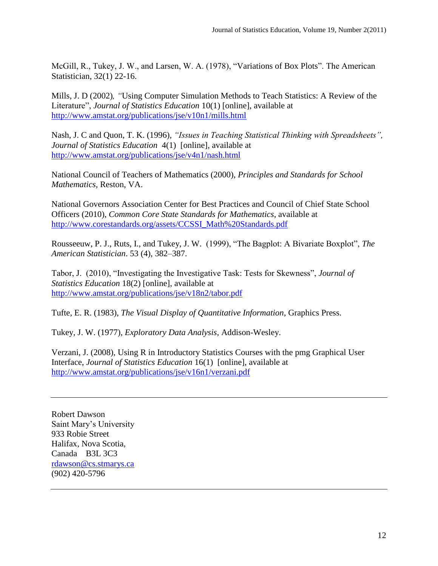<span id="page-11-2"></span>McGill, R., Tukey, J. W., and Larsen, W. A. (1978), ["Variations of Box Plots"](http://www.jstor.org/stable/2683468). The American Statistician, 32(1) 22-16.

<span id="page-11-6"></span>Mills, J. D (2002)*, "*Using Computer Simulation Methods to Teach Statistics: A Review of the Literature", *Journal of Statistics Education* 10(1) [online], available at <http://www.amstat.org/publications/jse/v10n1/mills.html>

<span id="page-11-9"></span>Nash, J. C and Quon, T. K. (1996)*, "Issues in Teaching Statistical Thinking with Spreadsheets", Journal of Statistics Education* 4(1) [online], available at <http://www.amstat.org/publications/jse/v4n1/nash.html>

<span id="page-11-4"></span>National Council of Teachers of Mathematics (2000), *Principles and Standards for School Mathematics,* Reston, VA.

<span id="page-11-5"></span>National Governors Association Center for Best Practices and Council of Chief State School Officers (2010), *Common Core State Standards for Mathematics*, available at [http://www.corestandards.org/assets/CCSSI\\_Math%20Standards.pdf](http://www.corestandards.org/assets/CCSSI_Math%20Standards.pdf)

<span id="page-11-3"></span>Rousseeuw, P. J., Ruts, I., and Tukey, J. W. (1999), "The Bagplot: A Bivariate Boxplot", *The American Statistician*. 53 (4), 382–387.

<span id="page-11-8"></span>Tabor, J. (2010), "Investigating the Investigative Task: Tests for Skewness", *Journal of Statistics Education* 18(2) [online], available at <http://www.amstat.org/publications/jse/v18n2/tabor.pdf>

<span id="page-11-10"></span>Tufte, E. R. (1983), *The Visual Display of Quantitative Information*, Graphics Press.

<span id="page-11-1"></span>Tukey, J. W. (1977), *Exploratory Data Analysis*, Addison-Wesley.

<span id="page-11-7"></span>Verzani, J. (2008), Using R in Introductory Statistics Courses with the pmg Graphical User Interface, *Journal of Statistics Education* 16(1) [online], available at <http://www.amstat.org/publications/jse/v16n1/verzani.pdf>

<span id="page-11-0"></span>Robert Dawson Saint Mary's University 933 Robie Street Halifax, Nova Scotia, Canada B3L 3C3 [rdawson@cs.stmarys.ca](mailto:rdawson@cs.stmarys.ca) (902) 420-5796